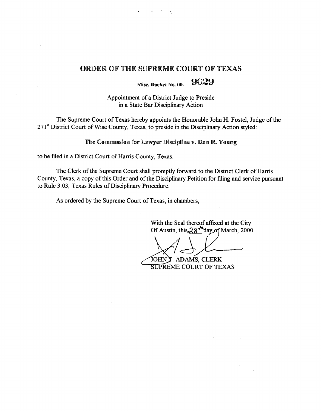#### ORDER OF THE SUPREME COURT OF TEXAS

Misc. Docket No.  $00 - 9029$ 

Appointment of a District Judge to Preside in a State Bar Disciplinary Action

The Supreme Court of Texas hereby appoints the Honorable John H. Fostel, Judge of the 271<sup>st</sup> District Court of Wise County, Texas, to preside in the Disciplinary Action styled:

The Commission for Lawyer Discipline v. Dan R. Young

to be **filed in** a District Court of Harris County, Texas.

The Clerk of the Supreme Court shall promptly forward to the District Clerk of Harris County, Texas, a copy of this Order and of the Disciplinary Petition for filing and service pursuant to Rule 3.03, Texas Rules of Disciplinary Procedure.

As ordered by the Supreme Court of Texas, **in chambers,**

With **the Seal thereof affixed at** the City Of Austin, this  $28$ <sup>td</sup>day of March, 2000.

JOHN I. ADAMS, CLERK **SUPREME COURT OF TEXAS**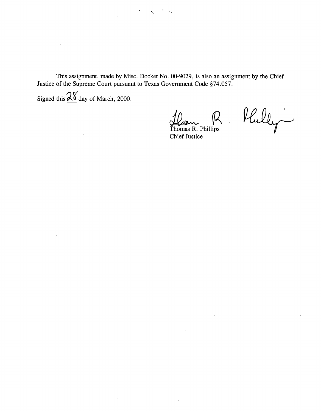This assignment, made by Misc. Docket No. 00-9029, is also an assignment by the Chief Justice of the Supreme Court pursuant to Texas Government Code §74.057.

 $\mathcal{F}^{\mathcal{G}}_{\mathcal{F}}$  .

 $\mathcal{L}_{\mathcal{L}}$ 

 $\sim 10^{-4}$ 

 $\sim$ 

 $\mathbb{Z}^2$ 

Signed this  $\frac{\partial \mathbf{X}}{\partial \mathbf{A}}$  day of March, 2000.

 $\bar{z}$ 

 $\bar{z}$ 

 $\sim$ 

 $\sim$ 

 $\sim 10^{11}$ 

 $\frac{1}{2} \int_{0}^{\infty} \frac{1}{2} \left( \frac{1}{2} \right) \left( \frac{1}{2} \right) \left( \frac{1}{2} \right) \frac{1}{2} \, d\theta$ 

 $\overline{\phantom{a}}$ 

 $\mathcal{L}_{\text{max}}$  and  $\mathcal{L}_{\text{max}}$ 

**Thomas R. Phillips** Chief **Justice**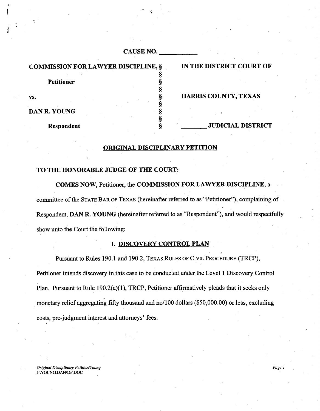| <b>CAUSE NO.</b> |  |
|------------------|--|
|------------------|--|

### COMMISSION FOR LAWYER DISCIPLINE, § IN THE DISTRICT COURT OF

**Petitioner §**

DAN R. YOUNG

**Respondent S S JUDICIAL DISTRICT** 

#### vs. Superior and the set of the set of the set of the set of the set of the set of the set of the set of the set of the set of the set of the set of the set of the set of the set of the set of the set of the set of the set

ORIGINAL DISCIPLINARY PETITION

**§**

**§**

**§**

**§**

#### TO THE HONORABLE JUDGE OF THE COURT:

COMES NOW, Petitioner, the COMMISSION FOR LAWYER DISCIPLINE, a committee of the STATE BAR OF TEXAS (hereinafter referred to as "Petitioner"), complaining of Respondent, DAN R. YOUNG (hereinafter referred to as "Respondent"), and would respectfully show unto the Court the following:

#### 1. DISCOVERY CONTROL PLAN

Pursuant to Rules 190.1 and 190.2, TEXAS RULES OF CIVIL PROCEDURE (TRCP), Petitioner intends discovery in this case to be conducted under the Level 1 Discovery Control Plan. Pursuant to Rule 190.2(a)(1), TRCP, Petitioner affirmatively pleads that it seeks only monetary relief aggregating fifty thousand and no/100 dollars (\$50,000.00) or less, excluding costs, pre judgment interest and attorneys' fees.

*Original Disciplinary Petition/Young Page 1* J:\YOUNG.DAN\DP.DOC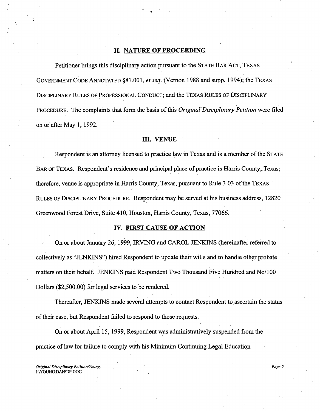#### **II. NATURE OF PROCEEDING**

,•

**Petitioner brings** this disciplinary **action pursuant** to the STATE BAR ACT, TEXAS GOVERNMENT CODE ANNOTATED § **81.001,** *et seq.* **(Vernon 1988 and supp. 1994);** the TEXAS DISCIPLINARY RULES OF PROFESSIONAL CONDUCT; and the TEXAS RULES OF DISCIPLINARY PROCEDURE. The complaints that form the basis of this *Original Disciplinary Petition* were filed on or after May 1, 1992.

#### III. VENUE

Respondent is an attorney licensed to practice law in Texas and is a member of the STATE BAR OF TEXAS. Respondent's residence and principal place of practice is Harris County, Texas; therefore, venue is appropriate in Harris County, Texas, pursuant to Rule 3.03 of the TEXAS RULES OF DISCIPLINARY PROCEDURE. Respondent may be served at his business address, 12820 Greenwood Forest Drive, Suite 410, Houston, Harris County, Texas, 77066.

#### IV. FIRST CAUSE OF ACTION

On or about January 26, 1999, IRVING and CAROL JENKINS (hereinafter referred to collectively as "JENKINS") hired Respondent to update their wills and to handle other probate matters on their behalf. JENKINS paid Respondent Two Thousand Five Hundred and No/100 Dollars (\$2,500.00) for legal services to be rendered.

Thereafter, JENKINS made several attempts to contact Respondent to.ascertain the status of their case, but Respondent failed to respond to those requests.

On or about April 15, 1999, Respondent was administratively suspended from the practice of law for failure to comply with his Minimum Continuing Legal Education

*Original Disciplinary Petition/Young Page 2* J:\YOUNG:DAN\DP.DOC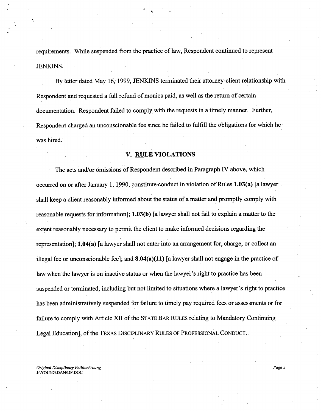requirements. While suspended from the practice of law, Respondent continued to represent JENKINS.

By letter dated May 16; 1999, JENKINS terminated their attorney-client relationship with Respondent and requested a full refund of monies paid, as well as the return of certain documentation. Respondent failed to comply with the requests in a timely manner. Further, Respondent charged an unconscionable fee since he failed to fulfill the obligations for which he was hired.

#### V. RULE VIOLATIONS

The acts and/or omissions of Respondent described in Paragraph IV above, which occurred on or after January 1, 1990, constitute conduct in violation of Rules 1.03(a) [a lawyer shall keep a client reasonably informed about the status of a matter and promptly comply with reasonable requests for information]; 1.03(b) [a lawyer shall not fail to explain a matter to the extent reasonably necessary to permit the client to make informed decisions regarding the representation]; 1.04(a) [a lawyer shall not enter into an arrangement for, charge, or collect an illegal fee or unconscionable fee]; and **8.04(a)(11) [a** lawyer shall not engage in the practice of law when the lawyer is on inactive status or when the lawyer's right to practice has been suspended or terminated, including but not limited to situations where a lawyer's right to practice has been administratively suspended for failure to timely pay required fees or assessments or for failure to comply with Article XII of the STATE BAR RULES relating to Mandatory Continuing Legal Education], of the TEXAS DISCIPLINARY RULES OF PROFESSIONAL CONDUCT.

*Original Disciplinary Petition/Young Page 3* J:\YOUNG.DAN\DP.DOC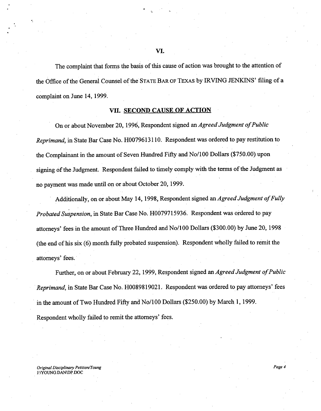The complaint that forms the basis of this cause of action was brought to the attention of the Office of the General Counsel of the STATE BAR OF TExas by IRVING JENKINS' filing of a complaint on June 14, 1999.

#### VII. SECOND CAUSE OF ACTION

On or about November 20, 1996, Respondent signed *an Agreed Judgment of Public Reprimand,* in State Bar Case No. H0079613110. Respondent was ordered to pay restitution to the Complainant in the amount of Seven Hundred Fifty and No/100 Dollars (\$750.00) upon signing of the Judgment. Respondent failed to timely comply with the terms of the Judgment as no payment was made until on or about October 20, 1999.

Additionally, on or about May 14, 1998, Respondent signed *an Agreed Judgment of Fully Probated Suspension,* in State Bar Case No. H0079715936. Respondent was ordered to pay attorneys' fees in the amount of Three Hundred and No/100 Dollars (\$300.00) by June 20, 1998 (the end of his six (6) month fully probated suspension). Respondent wholly failed to remit the attorneys' fees.

Further, on or about February 22, 1999, Respondent signed *an Agreed Judgment of Public Reprimand,* in State Bar Case No. H0089819021. Respondent was ordered to pay attorneys' fees in the amount of Two Hundred Fifty and No/100 Dollars (\$250.00) by March 1, 1999. Respondent wholly failed to remit the attorneys' fees.

*Original Disciplinary Petition/Young Page 4* J:\YOUNG.DAN\DP.DOC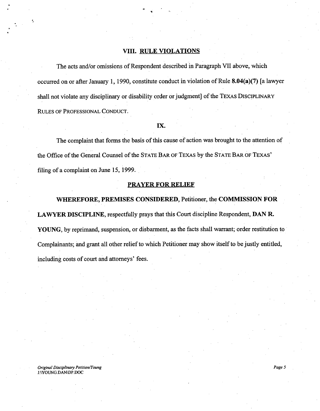#### VIII. RULE VIOLATIONS

The acts and/or omissions of Respondent described in Paragraph VII above, which occurred on or after January 1, 1990, constitute conduct in violation of Rule 8.04(a)(7) [a lawyer shall not violate any disciplinary or disability order or judgment] of the TEXAS DISCIPLINARY RULES OF PROFESSIONAL CONDUCT.

#### IX.

The complaint that forms the basis of this cause of action was brought to the attention of the Office of the General Counsel of the STATE BAR OF TEXAS by the STATE BAR OF TExAS' filing of a complaint on June 15, 1999.

#### PRAYER FOR RELIEF

WHEREFORE, PREMISES CONSIDERED, Petitioner, the COMMISSION FOR LAWYER DISCIPLINE, respectfully prays that this Court discipline Respondent, DAN R. YOUNG, by reprimand, suspension, or disbarment, as the facts shall warrant; order restitution to Complainants; and grant all other relief to which Petitioner may show itself to be justly entitled, including costs of court and attorneys' fees.

#### *Original Disciplinary Petition/Young Page 5* J:\YOUNG.DAN\DP.DOC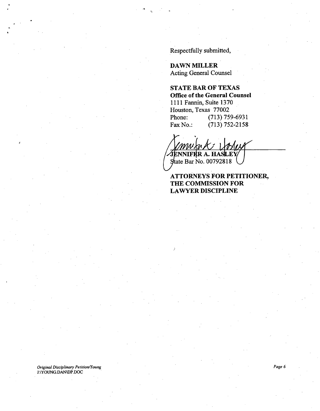Respectfully submitted,

DAWN MILLER Acting General Counsel

STATE **BAR OF TEXAS Office of the General Counsel**

1111 **Fannin,** Suite 1370 **Houston,** Texas 77002 **Phone:** (713) 759-6931 Fax No.: (713) 752-2158

ENNIFER A. HASLEY  $\frac{1}{2}$  state Bar No. 00792818

#### ATTORNEYS **FOR PETITIONER, THE COMMISSION FOR** LAWYER **DISCIPLINE**

*Original Disciplinary Petition/Young Page 6* J:\YOUNG.DAN\DP.DOC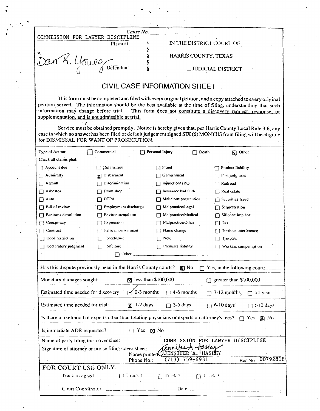|                                                                                          | Cause No.                                                                     |                                                      |                                                                                                                                                                                                                                                                                              |
|------------------------------------------------------------------------------------------|-------------------------------------------------------------------------------|------------------------------------------------------|----------------------------------------------------------------------------------------------------------------------------------------------------------------------------------------------------------------------------------------------------------------------------------------------|
| COMMISSION FOR LAWYER DISCIPLINE                                                         |                                                                               |                                                      |                                                                                                                                                                                                                                                                                              |
|                                                                                          | Plaintiff                                                                     | \$<br>ş                                              | IN THE DISTRICT COURT OF                                                                                                                                                                                                                                                                     |
| ν.                                                                                       |                                                                               | HARRIS COUNTY, TEXAS<br>ş                            |                                                                                                                                                                                                                                                                                              |
|                                                                                          | Defendant                                                                     | ş                                                    | <b>JUDICIAL DISTRICT</b>                                                                                                                                                                                                                                                                     |
|                                                                                          |                                                                               | <b>CIVIL CASE INFORMATION SHEET</b>                  |                                                                                                                                                                                                                                                                                              |
| information may change before trial.<br>supplementation, and is not admissible at trial. |                                                                               |                                                      | This form must be completed and filed with every original petition, and a copy attached to every original<br>petition served. The information should be the best available at the time of filing, understanding that such<br>This form does not constitute a discovery request, response, or |
| for DISMISSAL FOR WANT OF PROSECUTION.                                                   |                                                                               |                                                      | Service must be obtained promptly. Notice is hereby given that, per Harris County Local Rule 3.6, any<br>case in which no answer has been filed or default judgement signed SIX (6) MONTHS from filing will be eligible                                                                      |
| Type of Action:                                                                          | Commercial                                                                    | Personal Injury<br>$\Box$ Death                      | <b>M</b> Other                                                                                                                                                                                                                                                                               |
| Check all claims pled:                                                                   |                                                                               |                                                      |                                                                                                                                                                                                                                                                                              |
| Account due                                                                              | Defamation                                                                    | Fraud                                                | Product liability                                                                                                                                                                                                                                                                            |
| Admiralty                                                                                | [y] Disbarment                                                                | Gamishment                                           | [7] Post judgment                                                                                                                                                                                                                                                                            |
| Assault                                                                                  | Discrimination                                                                | Injunction/TRO                                       | Railroad                                                                                                                                                                                                                                                                                     |
| Asbestos                                                                                 | Dram shop                                                                     | Insurance bad faith                                  | $\Box$ Real estate                                                                                                                                                                                                                                                                           |
| □ Auto                                                                                   | <b>DTPA</b>                                                                   | Malicious prosecution                                | Securities fraud                                                                                                                                                                                                                                                                             |
| <b>Bill of review</b>                                                                    | Employment discharge                                                          | Malpractice/Legal                                    | $\Box$ Sequestration                                                                                                                                                                                                                                                                         |
| <b>Business dissolution</b>                                                              | Environmental tort                                                            | Malpractice/Medical                                  | $\Box$ Silicone implant                                                                                                                                                                                                                                                                      |
| Conspiracy                                                                               | <b>Expunction</b>                                                             | Malpractice/Other                                    | $\Box$ Tax                                                                                                                                                                                                                                                                                   |
| Contract                                                                                 | □ False imprisonment                                                          | Name change                                          | Tortious interference                                                                                                                                                                                                                                                                        |
| Deed restriction                                                                         | Foreclosure                                                                   | Note<br>П                                            | $\Box$ Trespass                                                                                                                                                                                                                                                                              |
| Declaratory judgment                                                                     | $\Box$ Forfeiture                                                             | $\Box$ Premises liability                            | [7] Workers compensation                                                                                                                                                                                                                                                                     |
|                                                                                          |                                                                               |                                                      |                                                                                                                                                                                                                                                                                              |
|                                                                                          | Has this dispute previously been in the Harris County courts? $\mathbb{X}$ No |                                                      | $\Box$ Yes, in the following court:                                                                                                                                                                                                                                                          |
| Monetary damages sought:                                                                 |                                                                               | $\bar{x}$ less than \$100,000                        | $\Box$ greater than \$100,000                                                                                                                                                                                                                                                                |
| Estimated time needed for discovery                                                      |                                                                               | $\sqrt{0.3}$ months $\sqrt{1.3}$ 4.6 months          | $\Box$ 7-12 months $\Box$ >1 year                                                                                                                                                                                                                                                            |
| Estimated time needed for trial:                                                         |                                                                               | $\boxed{X}$ 1-2 days $\boxed{3}$ -5 days             | $\Box$ 6-10 days $\Box$ >10 days                                                                                                                                                                                                                                                             |
|                                                                                          |                                                                               |                                                      | Is there a likelihood of experts other than treating physicians or experts on attorney's fees? $\Box$ Yes $\Box$ No                                                                                                                                                                          |
| Is immediate ADR requested?                                                              |                                                                               | $\Box$ Yes $\Box$ No                                 |                                                                                                                                                                                                                                                                                              |
| Name of party filing this cover sheet:                                                   | Signature of attorney or pro se filing cover sheet:                           | Canifer A Haster<br>Name printed JIENNIFER A. HASLEY | COMMISSION FOR LAWYER DISCIPLINE                                                                                                                                                                                                                                                             |
|                                                                                          | Phone No.:                                                                    | $(713) 759 - 6931$                                   | Bar No.: 00792818                                                                                                                                                                                                                                                                            |
| FOR COURT USE ONLY:                                                                      |                                                                               |                                                      |                                                                                                                                                                                                                                                                                              |
|                                                                                          |                                                                               | Track assigned: [1] Track 1 [1] Track 2 [1] Track 3  |                                                                                                                                                                                                                                                                                              |
|                                                                                          |                                                                               |                                                      |                                                                                                                                                                                                                                                                                              |

 $\mathcal{L}_{\mathcal{L}}$ 

 $\bullet$  . The contract of the contract of the contract of the contract of the contract of the contract of the contract of the contract of the contract of the contract of the contract of the contract of the contract of the co

 $\label{eq:2.1} \frac{1}{\sqrt{2}}\int_{\mathbb{R}^3} \frac{1}{\sqrt{2}}\left(\frac{1}{\sqrt{2}}\right)^2\frac{1}{\sqrt{2}}\left(\frac{1}{\sqrt{2}}\right)^2\frac{1}{\sqrt{2}}\left(\frac{1}{\sqrt{2}}\right)^2\frac{1}{\sqrt{2}}\left(\frac{1}{\sqrt{2}}\right)^2.$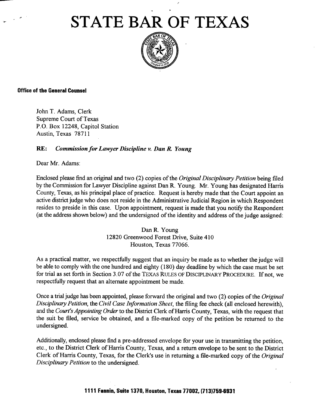# STATE BA**R** OF TEXAS



#### Office of the **General Counsel**

.

John T. Adams, Clerk Supreme Court of Texas P.O. Box 12248, Capitol Station Austin, Texas 78711

#### **RE:** *Commission for Lawyer Discipline v. Dan R Young*

Dear Mr. Adams:

Enclosed please find an original and two (2) copies of the *Original Disciplinary Petition* being filed by the Commission for Lawyer Discipline against Dan R. Young. Mr. Young has designated Harris County, Texas, as his principal place of practice. Request is hereby made that the Court appoint an active district judge who does not reside in the Administrative Judicial Region in which Respondent resides to preside in this case. Upon appointment, request is made that you notify the Respondent (at the address shown below) and the undersigned of the identity and address of the judge assigned:

> Dan R. Young 12820 Greenwood Forest Drive, Suite 410 Houston, Texas 77066.

**As a practical matter, we respectfully suggest that an inquiry be made as to whether the judge will be able to comply with the one hundred and eighty** ( **180) day deadline** by which **the case must be set for trial as set forth in Section 3.07** of the TExAS RvLEs OF DisCIPLINARY PROCEDURE. **If not, we** respectfully **request that an alternate appointment be made.**

Once a trial judge has been appointed, please forward the original and two (2) copies of the *Original Disciplinary Petition,* the *Civil Case Information Sheet,* the filing fee check (all enclosed herewith), and the *Court's Appointing Order* to the District Clerk of Harris County, Texas, with the request that the suit be filed, service be obtained, and a file-marked copy of the petition be returned to the undersigned.

Additionally, **enclosed please find a** pre-addressed envelope for your use **in transmitting** the petition, etc., to the District Clerk of Harris County, Texas, **and a** return **envelope to be sent** to the District Clerk of Harris County, Texas, for the Clerk's **use in returning** a file-marked copy of the *Original Disciplinary Petition* to the **undersigned.**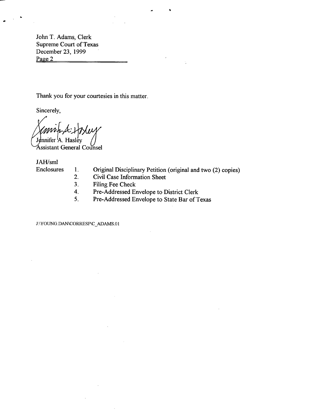John T. Adams, Clerk Supreme Court of Texas December 23, 1999 Page 2

Thank you for your courtesies in this matter.

Sincerely,

Jennifer<sup>1</sup>A. Hasley 'Assistant General Counsel

JAH/sml

- 
- Enclosures 1. Original Disciplinary Petition (original and two (2) copies)<br>2. Civil Case Information Sheet

It

- Civil Case Information Sheet
- 3. Filing Fee Check
- 4. Pre-Addressed Envelope to District Clerk<br>5. Pre-Addressed Envelope to State Bar of T
- Pre-Addressed Envelope to State Bar of Texas

J:\YOUNG.DAN\CORRESP\C ADAMS.01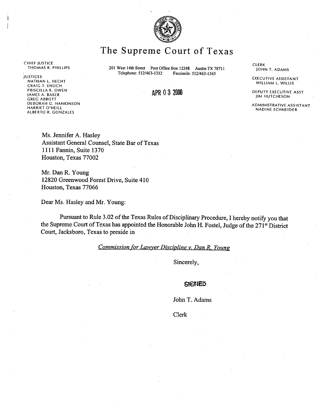

# The Supreme Court of Texas

CHIEF JUSTICE<br>THOMAS R. PHILLIPS

JUSTICES NATHAN L. HECHT CRAIG T. ENOCH PRISCILLA R. OWEN JAMES A. BAKER GREG ABBOTT DEBORAH G. HANKINSON HARRIET O'NEILL ALBERTO R. GONZALES

**201 West 14th Street** Post Office Box 12248 Austin TX 78711<br>Telephone: 512/463-1312 Facsimile: 512/463-1365 **Telephone:** 512/463-1312 **Facsimile: 512/463-1365**

### APR 0 3 2000

CLERK JOHN T. ADAMS

EXECUTIVE ASSISTANT WILLIAM L. WILLIS

DEPUTY EXECUTIVE ASST JIM HUTCHESON

ADMINISTRATIVE ASSISTANT **NADINE SCHNEIDER**

Ms. Jennifer A. Hasley Assistant General Counsel, State Bar of Texas 1111 Fannin, Suite 1370 Houston, Texas 77002

Mr. Dan R. Young 12820 Greenwood Forest Drive, Suite 410 Houston, Texas 77066

Dear Ms. Hasley and Mr. Young:

Pursuant to Rule 3.02 of the Texas Rules of Disciplinary Procedure, I hereby notify you that the Supreme Court of Texas has appointed the Honorable John H. Fostel, Judge of the 271<sup>st</sup> District Court, Jacksboro, Texas to preside in

*Commission for Lawver Discipline v. Dan R. Young*

Sincerely,

#### **SIGNED**

John T. Adams

Clerk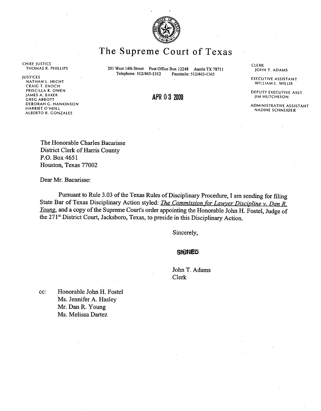

# The Supreme Court of Texas

CHIEF JUSTICE

JUSTICES EXECUTIVE ASSISTANT NATHAN L. HECHT WILLIAM L. WILLIS CRAIG T. ENOCH<br>PRISCILLA R. OWEN PRISCILLAR. OWEN DEPUTY EXECUTIVE ASST JAMES A. BAKER GREG ABBOTT **APR 0 3 <sup>2000</sup>** JIM HUTCHESON DEBORAH G. HANKINSON<br>HARRIET O'NEILL ASSISTANT ADMINISTRATIVE ASSISTANT ALBERTO R. GONZALES

THOMAS R. PHILLIPS 201 West 14th **Street Post** Office Box 12248 Austin TX 78711 Telephone: 512/463-1312 **Facsimile:** 512/463-1365

**CLERK** .JOHN T. ADAMS

NADINE SCHNEIDER

The Honorable Charles Bacarisse District Clerk of Harris County P.O. Box 4651 Houston, Texas 77002

Dear Mr. Bacarisse:

Pursuant to Rule 3.03 of the Texas Rules of Disciplinary Procedure, I am sending for filing State Bar of Texas Disciplinary Action styled: *The Commission for Lawyer Discipline v. Dan R. Young.* and a copy of the Supreme Court's order appointing the Honorable John H. Fostel, Judge of the 271s' District Court, Jacksboro, Texas, to preside in this Disciplinary Action.

**Sincerely,**

#### **SIGNED**

John T. Adams Clerk

cc: Honorable John H. Fostel Ms. Jennifer A. Hasley Mr. Dan R. Young Ms. Melissa Dartez